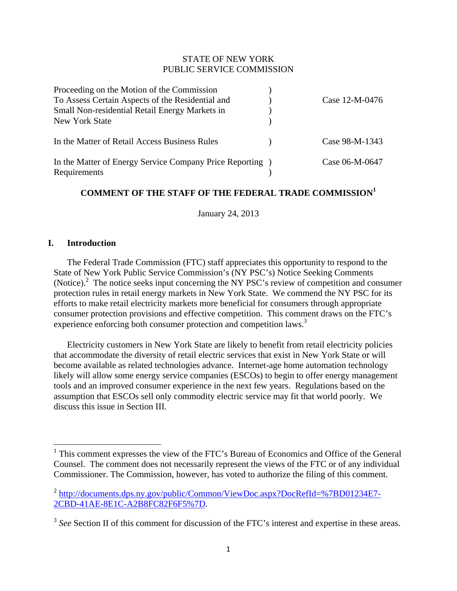## STATE OF NEW YORK PUBLIC SERVICE COMMISSION

| Proceeding on the Motion of the Commission                                |                |
|---------------------------------------------------------------------------|----------------|
| To Assess Certain Aspects of the Residential and                          | Case 12-M-0476 |
| Small Non-residential Retail Energy Markets in                            |                |
| New York State                                                            |                |
| In the Matter of Retail Access Business Rules                             | Case 98-M-1343 |
| In the Matter of Energy Service Company Price Reporting )<br>Requirements | Case 06-M-0647 |

# **COMMENT OF THE STAFF OF THE FEDERAL TRADE COMMISSION<sup>1</sup>**

January 24, 2013

## **I. Introduction**

The Federal Trade Commission (FTC) staff appreciates this opportunity to respond to the State of New York Public Service Commission's (NY PSC's) Notice Seeking Comments (Notice). $2$  The notice seeks input concerning the NY PSC's review of competition and consumer protection rules in retail energy markets in New York State. We commend the NY PSC for its efforts to make retail electricity markets more beneficial for consumers through appropriate consumer protection provisions and effective competition. This comment draws on the FTC's experience enforcing both consumer protection and competition laws.<sup>3</sup>

Electricity customers in New York State are likely to benefit from retail electricity policies that accommodate the diversity of retail electric services that exist in New York State or will become available as related technologies advance. Internet-age home automation technology likely will allow some energy service companies (ESCOs) to begin to offer energy management tools and an improved consumer experience in the next few years. Regulations based on the assumption that ESCOs sell only commodity electric service may fit that world poorly. We discuss this issue in Section III.

<sup>&</sup>lt;sup>1</sup> This comment expresses the view of the FTC's Bureau of Economics and Office of the General Counsel. The comment does not necessarily represent the views of the FTC or of any individual Commissioner. The Commission, however, has voted to authorize the filing of this comment.

<sup>2</sup> http://documents.dps.ny.gov/public/Common/ViewDoc.aspx?DocRefId=%7BD01234E7- 2CBD-41AE-8E1C-A2B8FC82F6F5%7D.

<sup>&</sup>lt;sup>3</sup> See Section II of this comment for discussion of the FTC's interest and expertise in these areas.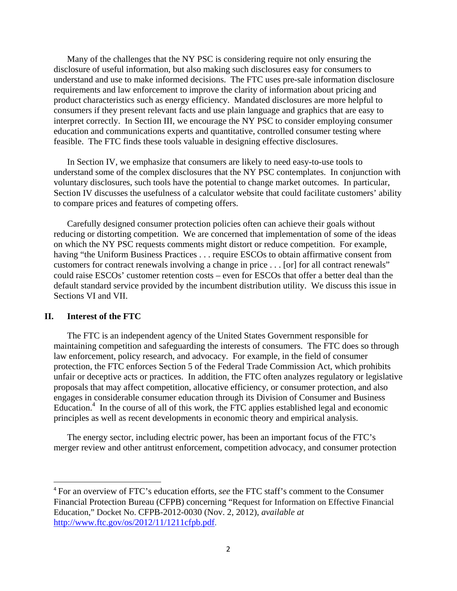Many of the challenges that the NY PSC is considering require not only ensuring the disclosure of useful information, but also making such disclosures easy for consumers to understand and use to make informed decisions. The FTC uses pre-sale information disclosure requirements and law enforcement to improve the clarity of information about pricing and product characteristics such as energy efficiency. Mandated disclosures are more helpful to consumers if they present relevant facts and use plain language and graphics that are easy to interpret correctly. In Section III, we encourage the NY PSC to consider employing consumer education and communications experts and quantitative, controlled consumer testing where feasible. The FTC finds these tools valuable in designing effective disclosures.

In Section IV, we emphasize that consumers are likely to need easy-to-use tools to understand some of the complex disclosures that the NY PSC contemplates. In conjunction with voluntary disclosures, such tools have the potential to change market outcomes. In particular, Section IV discusses the usefulness of a calculator website that could facilitate customers' ability to compare prices and features of competing offers.

Carefully designed consumer protection policies often can achieve their goals without reducing or distorting competition. We are concerned that implementation of some of the ideas on which the NY PSC requests comments might distort or reduce competition. For example, having "the Uniform Business Practices . . . require ESCOs to obtain affirmative consent from customers for contract renewals involving a change in price . . . [or] for all contract renewals" could raise ESCOs' customer retention costs – even for ESCOs that offer a better deal than the default standard service provided by the incumbent distribution utility. We discuss this issue in Sections VI and VII.

### **II. Interest of the FTC**

The FTC is an independent agency of the United States Government responsible for maintaining competition and safeguarding the interests of consumers. The FTC does so through law enforcement, policy research, and advocacy. For example, in the field of consumer protection, the FTC enforces Section 5 of the Federal Trade Commission Act, which prohibits unfair or deceptive acts or practices. In addition, the FTC often analyzes regulatory or legislative proposals that may affect competition, allocative efficiency, or consumer protection, and also engages in considerable consumer education through its Division of Consumer and Business Education. $4$  In the course of all of this work, the FTC applies established legal and economic principles as well as recent developments in economic theory and empirical analysis.

The energy sector, including electric power, has been an important focus of the FTC's merger review and other antitrust enforcement, competition advocacy, and consumer protection

<sup>4</sup> For an overview of FTC's education efforts, *see* the FTC staff's comment to the Consumer Financial Protection Bureau (CFPB) concerning "Request for Information on Effective Financial Education," Docket No. CFPB-2012-0030 (Nov. 2, 2012), *available at*  http://www.ftc.gov/os/2012/11/1211cfpb.pdf.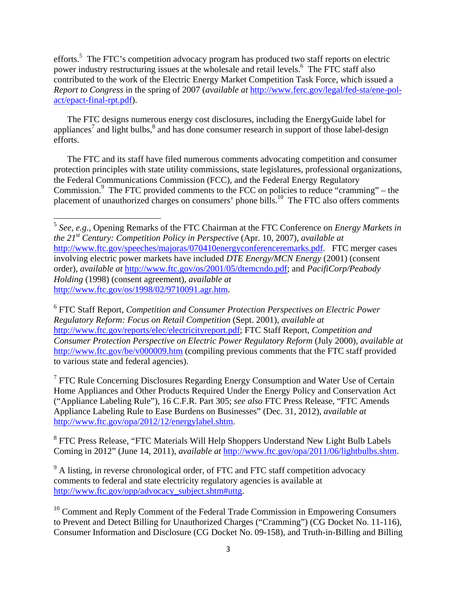efforts.<sup>5</sup> The FTC's competition advocacy program has produced two staff reports on electric power industry restructuring issues at the wholesale and retail levels.<sup>6</sup> The FTC staff also contributed to the work of the Electric Energy Market Competition Task Force, which issued a *Report to Congress* in the spring of 2007 (*available at* http://www.ferc.gov/legal/fed-sta/ene-polact/epact-final-rpt.pdf).

The FTC designs numerous energy cost disclosures, including the EnergyGuide label for appliances<sup>7</sup> and light bulbs, $\frac{8}{3}$  and has done consumer research in support of those label-design efforts.

The FTC and its staff have filed numerous comments advocating competition and consumer protection principles with state utility commissions, state legislatures, professional organizations, the Federal Communications Commission (FCC), and the Federal Energy Regulatory Commission. $9$  The FTC provided comments to the FCC on policies to reduce "cramming" – the placement of unauthorized charges on consumers' phone bills.<sup>10</sup> The FTC also offers comments

6 FTC Staff Report, *Competition and Consumer Protection Perspectives on Electric Power Regulatory Reform: Focus on Retail Competition* (Sept. 2001), *available at* http://www.ftc.gov/reports/elec/electricityreport.pdf; FTC Staff Report, *Competition and Consumer Protection Perspective on Electric Power Regulatory Reform* (July 2000), *available at* http://www.ftc.gov/be/v000009.htm (compiling previous comments that the FTC staff provided to various state and federal agencies).

 $7$  FTC Rule Concerning Disclosures Regarding Energy Consumption and Water Use of Certain Home Appliances and Other Products Required Under the Energy Policy and Conservation Act ("Appliance Labeling Rule"), 16 C.F.R. Part 305; *see also* FTC Press Release, "FTC Amends Appliance Labeling Rule to Ease Burdens on Businesses" (Dec. 31, 2012), *available at* http://www.ftc.gov/opa/2012/12/energylabel.shtm.

<sup>8</sup> FTC Press Release, "FTC Materials Will Help Shoppers Understand New Light Bulb Labels Coming in 2012" (June 14, 2011), *available at* http://www.ftc.gov/opa/2011/06/lightbulbs.shtm.

 $9$  A listing, in reverse chronological order, of FTC and FTC staff competition advocacy comments to federal and state electricity regulatory agencies is available at http://www.ftc.gov/opp/advocacy\_subject.shtm#uttg.

<sup>10</sup> Comment and Reply Comment of the Federal Trade Commission in Empowering Consumers to Prevent and Detect Billing for Unauthorized Charges ("Cramming") (CG Docket No. 11-116), Consumer Information and Disclosure (CG Docket No. 09-158), and Truth-in-Billing and Billing

<sup>5</sup> *See*, *e.g.*, Opening Remarks of the FTC Chairman at the FTC Conference on *Energy Markets in the 21st Century: Competition Policy in Perspective* (Apr. 10, 2007), *available at* http://www.ftc.gov/speeches/majoras/070410energyconferenceremarks.pdf. FTC merger cases involving electric power markets have included *DTE Energy/MCN Energy* (2001) (consent order), *available at* http://www.ftc.gov/os/2001/05/dtemcndo.pdf; and *PacifiCorp/Peabody Holding* (1998) (consent agreement), *available at* http://www.ftc.gov/os/1998/02/9710091.agr.htm.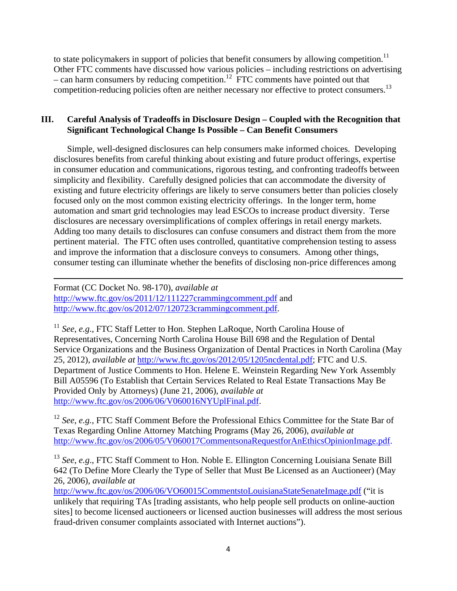to state policymakers in support of policies that benefit consumers by allowing competition.<sup>11</sup> Other FTC comments have discussed how various policies – including restrictions on advertising – can harm consumers by reducing competition.<sup>12</sup> FTC comments have pointed out that competition-reducing policies often are neither necessary nor effective to protect consumers.<sup>13</sup>

# **III. Careful Analysis of Tradeoffs in Disclosure Design – Coupled with the Recognition that Significant Technological Change Is Possible – Can Benefit Consumers**

Simple, well-designed disclosures can help consumers make informed choices. Developing disclosures benefits from careful thinking about existing and future product offerings, expertise in consumer education and communications, rigorous testing, and confronting tradeoffs between simplicity and flexibility. Carefully designed policies that can accommodate the diversity of existing and future electricity offerings are likely to serve consumers better than policies closely focused only on the most common existing electricity offerings. In the longer term, home automation and smart grid technologies may lead ESCOs to increase product diversity. Terse disclosures are necessary oversimplifications of complex offerings in retail energy markets. Adding too many details to disclosures can confuse consumers and distract them from the more pertinent material. The FTC often uses controlled, quantitative comprehension testing to assess and improve the information that a disclosure conveys to consumers. Among other things, consumer testing can illuminate whether the benefits of disclosing non-price differences among

<u> 1989 - Johann Stoff, amerikansk politiker (d. 1989)</u>

Format (CC Docket No. 98-170), *available at* http://www.ftc.gov/os/2011/12/111227crammingcomment.pdf and http://www.ftc.gov/os/2012/07/120723crammingcomment.pdf.

<sup>11</sup> *See*, *e.g*., FTC Staff Letter to Hon. Stephen LaRoque, North Carolina House of Representatives, Concerning North Carolina House Bill 698 and the Regulation of Dental Service Organizations and the Business Organization of Dental Practices in North Carolina (May 25, 2012), *available at* http://www.ftc.gov/os/2012/05/1205ncdental.pdf; FTC and U.S. Department of Justice Comments to Hon. Helene E. Weinstein Regarding New York Assembly Bill A05596 (To Establish that Certain Services Related to Real Estate Transactions May Be Provided Only by Attorneys) (June 21, 2006), *available at*  http://www.ftc.gov/os/2006/06/V060016NYUplFinal.pdf.

<sup>12</sup> *See*, *e.g.*, FTC Staff Comment Before the Professional Ethics Committee for the State Bar of Texas Regarding Online Attorney Matching Programs (May 26, 2006), *available at* http://www.ftc.gov/os/2006/05/V060017CommentsonaRequestforAnEthicsOpinionImage.pdf.

<sup>13</sup> *See*, *e.g*., FTC Staff Comment to Hon. Noble E. Ellington Concerning Louisiana Senate Bill 642 (To Define More Clearly the Type of Seller that Must Be Licensed as an Auctioneer) (May 26, 2006), *available at*

http://www.ftc.gov/os/2006/06/VO60015CommentstoLouisianaStateSenateImage.pdf ("it is unlikely that requiring TAs [trading assistants, who help people sell products on online-auction sites] to become licensed auctioneers or licensed auction businesses will address the most serious fraud-driven consumer complaints associated with Internet auctions").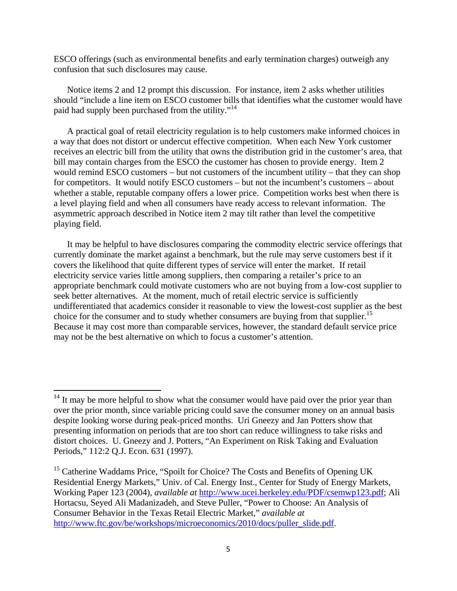ESCO offerings (such as environmental benefits and early termination charges) outweigh any confusion that such disclosures may cause.

Notice items 2 and 12 prompt this discussion. For instance, item 2 asks whether utilities should "include a line item on ESCO customer bills that identifies what the customer would have paid had supply been purchased from the utility."<sup>14</sup>

A practical goal of retail electricity regulation is to help customers make informed choices in a way that does not distort or undercut effective competition. When each New York customer receives an electric bill from the utility that owns the distribution grid in the customer's area, that bill may contain charges from the ESCO the customer has chosen to provide energy. Item 2 would remind ESCO customers – but not customers of the incumbent utility – that they can shop for competitors. It would notify ESCO customers – but not the incumbent's customers – about whether a stable, reputable company offers a lower price. Competition works best when there is a level playing field and when all consumers have ready access to relevant information. The asymmetric approach described in Notice item 2 may tilt rather than level the competitive playing field.

It may be helpful to have disclosures comparing the commodity electric service offerings that currently dominate the market against a benchmark, but the rule may serve customers best if it covers the likelihood that quite different types of service will enter the market. If retail electricity service varies little among suppliers, then comparing a retailer's price to an appropriate benchmark could motivate customers who are not buying from a low-cost supplier to seek better alternatives. At the moment, much of retail electric service is sufficiently undifferentiated that academics consider it reasonable to view the lowest-cost supplier as the best choice for the consumer and to study whether consumers are buying from that supplier.<sup>15</sup> Because it may cost more than comparable services, however, the standard default service price may not be the best alternative on which to focus a customer's attention.

 $14$  It may be more helpful to show what the consumer would have paid over the prior year than over the prior month, since variable pricing could save the consumer money on an annual basis despite looking worse during peak-priced months. Uri Gneezy and Jan Potters show that presenting information on periods that are too short can reduce willingness to take risks and distort choices. U. Gneezy and J. Potters, "An Experiment on Risk Taking and Evaluation Periods," 112:2 Q.J. Econ. 631 (1997).

<sup>&</sup>lt;sup>15</sup> Catherine Waddams Price, "Spoilt for Choice? The Costs and Benefits of Opening UK Residential Energy Markets," Univ. of Cal. Energy Inst., Center for Study of Energy Markets, Working Paper 123 (2004), *available at* http://www.ucei.berkeley.edu/PDF/csemwp123.pdf; Ali Hortacsu, Seyed Ali Madanizadeh, and Steve Puller, "Power to Choose: An Analysis of Consumer Behavior in the Texas Retail Electric Market," *available at* http://www.ftc.gov/be/workshops/microeconomics/2010/docs/puller\_slide.pdf.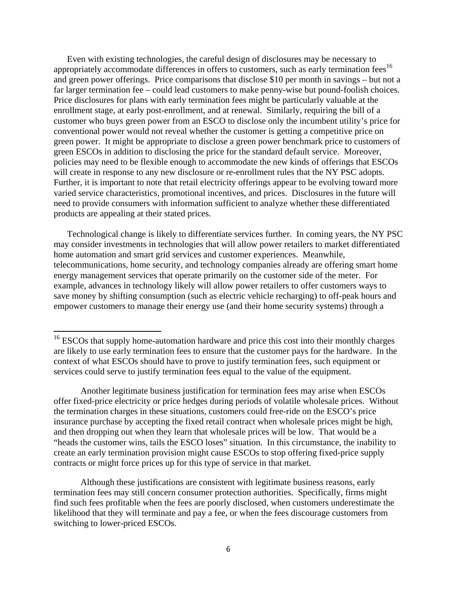Even with existing technologies, the careful design of disclosures may be necessary to appropriately accommodate differences in offers to customers, such as early termination fees<sup>16</sup> and green power offerings. Price comparisons that disclose \$10 per month in savings – but not a far larger termination fee – could lead customers to make penny-wise but pound-foolish choices. Price disclosures for plans with early termination fees might be particularly valuable at the enrollment stage, at early post-enrollment, and at renewal. Similarly, requiring the bill of a customer who buys green power from an ESCO to disclose only the incumbent utility's price for conventional power would not reveal whether the customer is getting a competitive price on green power. It might be appropriate to disclose a green power benchmark price to customers of green ESCOs in addition to disclosing the price for the standard default service. Moreover, policies may need to be flexible enough to accommodate the new kinds of offerings that ESCOs will create in response to any new disclosure or re-enrollment rules that the NY PSC adopts. Further, it is important to note that retail electricity offerings appear to be evolving toward more varied service characteristics, promotional incentives, and prices. Disclosures in the future will need to provide consumers with information sufficient to analyze whether these differentiated products are appealing at their stated prices.

Technological change is likely to differentiate services further. In coming years, the NY PSC may consider investments in technologies that will allow power retailers to market differentiated home automation and smart grid services and customer experiences. Meanwhile, telecommunications, home security, and technology companies already are offering smart home energy management services that operate primarily on the customer side of the meter. For example, advances in technology likely will allow power retailers to offer customers ways to save money by shifting consumption (such as electric vehicle recharging) to off-peak hours and empower customers to manage their energy use (and their home security systems) through a

 Another legitimate business justification for termination fees may arise when ESCOs offer fixed-price electricity or price hedges during periods of volatile wholesale prices. Without the termination charges in these situations, customers could free-ride on the ESCO's price insurance purchase by accepting the fixed retail contract when wholesale prices might be high, and then dropping out when they learn that wholesale prices will be low. That would be a "heads the customer wins, tails the ESCO loses" situation. In this circumstance, the inability to create an early termination provision might cause ESCOs to stop offering fixed-price supply contracts or might force prices up for this type of service in that market.

 Although these justifications are consistent with legitimate business reasons, early termination fees may still concern consumer protection authorities. Specifically, firms might find such fees profitable when the fees are poorly disclosed, when customers underestimate the likelihood that they will terminate and pay a fee, or when the fees discourage customers from switching to lower-priced ESCOs.

 $16$  ESCOs that supply home-automation hardware and price this cost into their monthly charges are likely to use early termination fees to ensure that the customer pays for the hardware. In the context of what ESCOs should have to prove to justify termination fees, such equipment or services could serve to justify termination fees equal to the value of the equipment.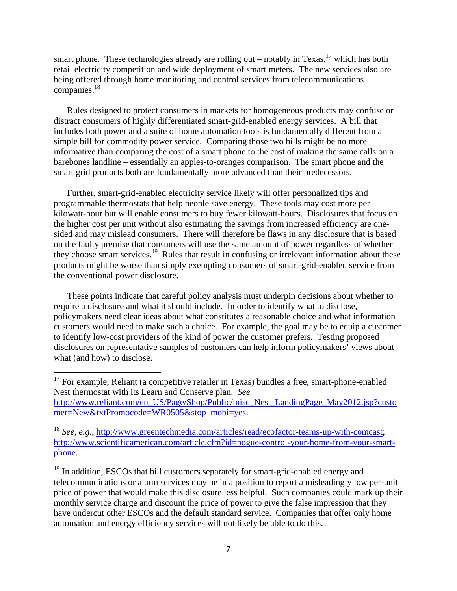smart phone. These technologies already are rolling out – notably in Texas,<sup>17</sup> which has both retail electricity competition and wide deployment of smart meters. The new services also are being offered through home monitoring and control services from telecommunications companies.<sup>18</sup>

Rules designed to protect consumers in markets for homogeneous products may confuse or distract consumers of highly differentiated smart-grid-enabled energy services. A bill that includes both power and a suite of home automation tools is fundamentally different from a simple bill for commodity power service. Comparing those two bills might be no more informative than comparing the cost of a smart phone to the cost of making the same calls on a barebones landline – essentially an apples-to-oranges comparison. The smart phone and the smart grid products both are fundamentally more advanced than their predecessors.

Further, smart-grid-enabled electricity service likely will offer personalized tips and programmable thermostats that help people save energy. These tools may cost more per kilowatt-hour but will enable consumers to buy fewer kilowatt-hours. Disclosures that focus on the higher cost per unit without also estimating the savings from increased efficiency are onesided and may mislead consumers. There will therefore be flaws in any disclosure that is based on the faulty premise that consumers will use the same amount of power regardless of whether they choose smart services.19 Rules that result in confusing or irrelevant information about these products might be worse than simply exempting consumers of smart-grid-enabled service from the conventional power disclosure.

These points indicate that careful policy analysis must underpin decisions about whether to require a disclosure and what it should include. In order to identify what to disclose, policymakers need clear ideas about what constitutes a reasonable choice and what information customers would need to make such a choice. For example, the goal may be to equip a customer to identify low-cost providers of the kind of power the customer prefers. Testing proposed disclosures on representative samples of customers can help inform policymakers' views about what (and how) to disclose.

 $19$  In addition, ESCOs that bill customers separately for smart-grid-enabled energy and telecommunications or alarm services may be in a position to report a misleadingly low per-unit price of power that would make this disclosure less helpful. Such companies could mark up their monthly service charge and discount the price of power to give the false impression that they have undercut other ESCOs and the default standard service. Companies that offer only home automation and energy efficiency services will not likely be able to do this.

 $17$  For example, Reliant (a competitive retailer in Texas) bundles a free, smart-phone-enabled Nest thermostat with its Learn and Conserve plan. *See* http://www.reliant.com/en\_US/Page/Shop/Public/misc\_Nest\_LandingPage\_May2012.jsp?custo mer=New&txtPromocode=WR0505&stop\_mobi=yes.

<sup>18</sup> *See*, *e.g.*, http://www.greentechmedia.com/articles/read/ecofactor-teams-up-with-comcast; http://www.scientificamerican.com/article.cfm?id=pogue-control-your-home-from-your-smartphone.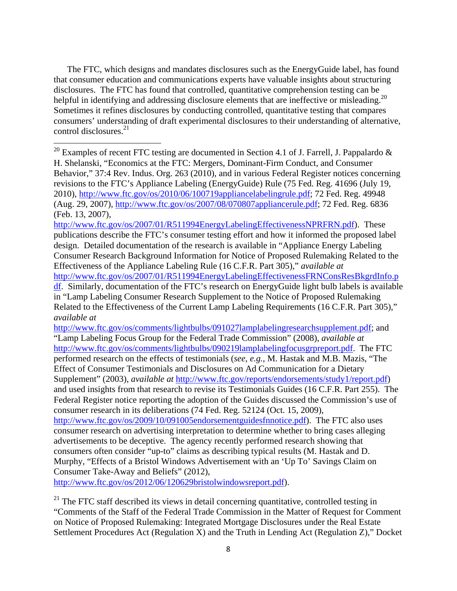The FTC, which designs and mandates disclosures such as the EnergyGuide label, has found that consumer education and communications experts have valuable insights about structuring disclosures. The FTC has found that controlled, quantitative comprehension testing can be helpful in identifying and addressing disclosure elements that are ineffective or misleading.<sup>20</sup> Sometimes it refines disclosures by conducting controlled, quantitative testing that compares consumers' understanding of draft experimental disclosures to their understanding of alternative, control disclosures. $^{21}$ 

http://www.ftc.gov/os/2007/01/R511994EnergyLabelingEffectivenessNPRFRN.pdf). These publications describe the FTC's consumer testing effort and how it informed the proposed label design. Detailed documentation of the research is available in "Appliance Energy Labeling Consumer Research Background Information for Notice of Proposed Rulemaking Related to the Effectiveness of the Appliance Labeling Rule (16 C.F.R. Part 305)," *available at*

http://www.ftc.gov/os/2007/01/R511994EnergyLabelingEffectivenessFRNConsResBkgrdInfo.p df. Similarly, documentation of the FTC's research on EnergyGuide light bulb labels is available in "Lamp Labeling Consumer Research Supplement to the Notice of Proposed Rulemaking Related to the Effectiveness of the Current Lamp Labeling Requirements (16 C.F.R. Part 305)," *available at*

http://www.ftc.gov/os/comments/lightbulbs/091027lamplabelingresearchsupplement.pdf; and "Lamp Labeling Focus Group for the Federal Trade Commission" (2008), *available at* http://www.ftc.gov/os/comments/lightbulbs/090219lamplabelingfocusgrpreport.pdf. The FTC performed research on the effects of testimonials (*see*, *e.g.*, M. Hastak and M.B. Mazis, "The Effect of Consumer Testimonials and Disclosures on Ad Communication for a Dietary Supplement" (2003), *available at* http://www.ftc.gov/reports/endorsements/study1/report.pdf) and used insights from that research to revise its Testimonials Guides (16 C.F.R. Part 255). The Federal Register notice reporting the adoption of the Guides discussed the Commission's use of consumer research in its deliberations (74 Fed. Reg. 52124 (Oct. 15, 2009), http://www.ftc.gov/os/2009/10/091005endorsementguidesfnnotice.pdf). The FTC also uses consumer research on advertising interpretation to determine whether to bring cases alleging advertisements to be deceptive. The agency recently performed research showing that consumers often consider "up-to" claims as describing typical results (M. Hastak and D. Murphy, "Effects of a Bristol Windows Advertisement with an 'Up To' Savings Claim on Consumer Take-Away and Beliefs" (2012),

http://www.ftc.gov/os/2012/06/120629bristolwindowsreport.pdf).

<sup>21</sup> The FTC staff described its views in detail concerning quantitative, controlled testing in "Comments of the Staff of the Federal Trade Commission in the Matter of Request for Comment on Notice of Proposed Rulemaking: Integrated Mortgage Disclosures under the Real Estate Settlement Procedures Act (Regulation X) and the Truth in Lending Act (Regulation Z)," Docket

<sup>&</sup>lt;sup>20</sup> Examples of recent FTC testing are documented in Section 4.1 of J. Farrell, J. Pappalardo  $\&$ H. Shelanski, "Economics at the FTC: Mergers, Dominant-Firm Conduct, and Consumer Behavior," 37:4 Rev. Indus. Org. 263 (2010), and in various Federal Register notices concerning revisions to the FTC's Appliance Labeling (EnergyGuide) Rule (75 Fed. Reg. 41696 (July 19, 2010), http://www.ftc.gov/os/2010/06/100719appliancelabelingrule.pdf; 72 Fed. Reg. 49948 (Aug. 29, 2007), http://www.ftc.gov/os/2007/08/070807appliancerule.pdf; 72 Fed. Reg. 6836 (Feb. 13, 2007),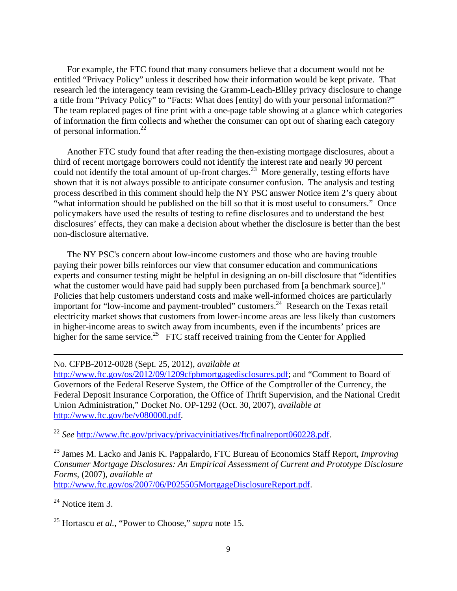For example, the FTC found that many consumers believe that a document would not be entitled "Privacy Policy" unless it described how their information would be kept private. That research led the interagency team revising the Gramm-Leach-Bliley privacy disclosure to change a title from "Privacy Policy" to "Facts: What does [entity] do with your personal information?" The team replaced pages of fine print with a one-page table showing at a glance which categories of information the firm collects and whether the consumer can opt out of sharing each category of personal information.<sup>22</sup>

Another FTC study found that after reading the then-existing mortgage disclosures, about a third of recent mortgage borrowers could not identify the interest rate and nearly 90 percent could not identify the total amount of up-front charges.<sup>23</sup> More generally, testing efforts have shown that it is not always possible to anticipate consumer confusion. The analysis and testing process described in this comment should help the NY PSC answer Notice item 2's query about "what information should be published on the bill so that it is most useful to consumers." Once policymakers have used the results of testing to refine disclosures and to understand the best disclosures' effects, they can make a decision about whether the disclosure is better than the best non-disclosure alternative.

The NY PSC's concern about low-income customers and those who are having trouble paying their power bills reinforces our view that consumer education and communications experts and consumer testing might be helpful in designing an on-bill disclosure that "identifies what the customer would have paid had supply been purchased from [a benchmark source]." Policies that help customers understand costs and make well-informed choices are particularly important for "low-income and payment-troubled" customers.<sup>24</sup> Research on the Texas retail electricity market shows that customers from lower-income areas are less likely than customers in higher-income areas to switch away from incumbents, even if the incumbents' prices are higher for the same service.<sup>25</sup> FTC staff received training from the Center for Applied

#### No. CFPB-2012-0028 (Sept. 25, 2012), *available at*

http://www.ftc.gov/os/2012/09/1209cfpbmortgagedisclosures.pdf; and "Comment to Board of Governors of the Federal Reserve System, the Office of the Comptroller of the Currency, the Federal Deposit Insurance Corporation, the Office of Thrift Supervision, and the National Credit Union Administration," Docket No. OP-1292 (Oct. 30, 2007), *available at* http://www.ftc.gov/be/v080000.pdf.

<u> 1989 - Johann Stein, marwolaethau a gweledydd a ganlad y ganlad y ganlad y ganlad y ganlad y ganlad y ganlad</u>

<sup>22</sup> See http://www.ftc.gov/privacy/privacyinitiatives/ftcfinalreport060228.pdf.

23 James M. Lacko and Janis K. Pappalardo, FTC Bureau of Economics Staff Report, *Improving Consumer Mortgage Disclosures: An Empirical Assessment of Current and Prototype Disclosure Forms*, (2007), *available at* 

http://www.ftc.gov/os/2007/06/P025505MortgageDisclosureReport.pdf.

 $^{24}$  Notice item 3.

25 Hortascu *et al.*, "Power to Choose," *supra* note 15.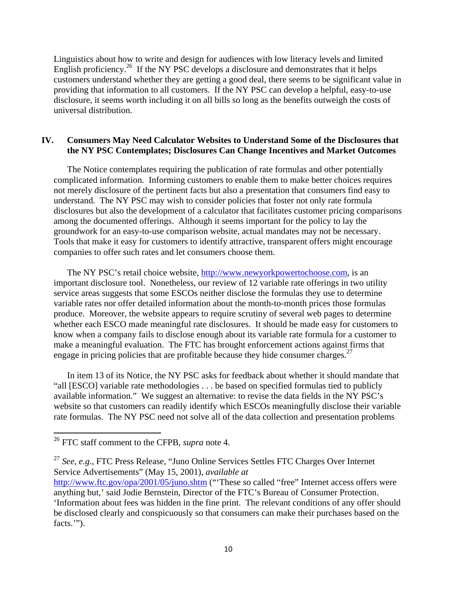Linguistics about how to write and design for audiences with low literacy levels and limited English proficiency.<sup>26</sup> If the NY PSC develops a disclosure and demonstrates that it helps customers understand whether they are getting a good deal, there seems to be significant value in providing that information to all customers. If the NY PSC can develop a helpful, easy-to-use disclosure, it seems worth including it on all bills so long as the benefits outweigh the costs of universal distribution.

## **IV. Consumers May Need Calculator Websites to Understand Some of the Disclosures that the NY PSC Contemplates; Disclosures Can Change Incentives and Market Outcomes**

The Notice contemplates requiring the publication of rate formulas and other potentially complicated information. Informing customers to enable them to make better choices requires not merely disclosure of the pertinent facts but also a presentation that consumers find easy to understand. The NY PSC may wish to consider policies that foster not only rate formula disclosures but also the development of a calculator that facilitates customer pricing comparisons among the documented offerings. Although it seems important for the policy to lay the groundwork for an easy-to-use comparison website, actual mandates may not be necessary. Tools that make it easy for customers to identify attractive, transparent offers might encourage companies to offer such rates and let consumers choose them.

The NY PSC's retail choice website, http://www.newyorkpowertochoose.com, is an important disclosure tool. Nonetheless, our review of 12 variable rate offerings in two utility service areas suggests that some ESCOs neither disclose the formulas they use to determine variable rates nor offer detailed information about the month-to-month prices those formulas produce. Moreover, the website appears to require scrutiny of several web pages to determine whether each ESCO made meaningful rate disclosures. It should be made easy for customers to know when a company fails to disclose enough about its variable rate formula for a customer to make a meaningful evaluation. The FTC has brought enforcement actions against firms that engage in pricing policies that are profitable because they hide consumer charges. $27$ 

In item 13 of its Notice, the NY PSC asks for feedback about whether it should mandate that "all [ESCO] variable rate methodologies . . . be based on specified formulas tied to publicly available information." We suggest an alternative: to revise the data fields in the NY PSC's website so that customers can readily identify which ESCOs meaningfully disclose their variable rate formulas. The NY PSC need not solve all of the data collection and presentation problems

<sup>26</sup> FTC staff comment to the CFPB, *supra* note 4.

<sup>27</sup> *See*, *e.g*., FTC Press Release, "Juno Online Services Settles FTC Charges Over Internet Service Advertisements" (May 15, 2001), *available at*

http://www.ftc.gov/opa/2001/05/juno.shtm ("These so called "free" Internet access offers were anything but,' said Jodie Bernstein, Director of the FTC's Bureau of Consumer Protection. 'Information about fees was hidden in the fine print. The relevant conditions of any offer should be disclosed clearly and conspicuously so that consumers can make their purchases based on the facts.").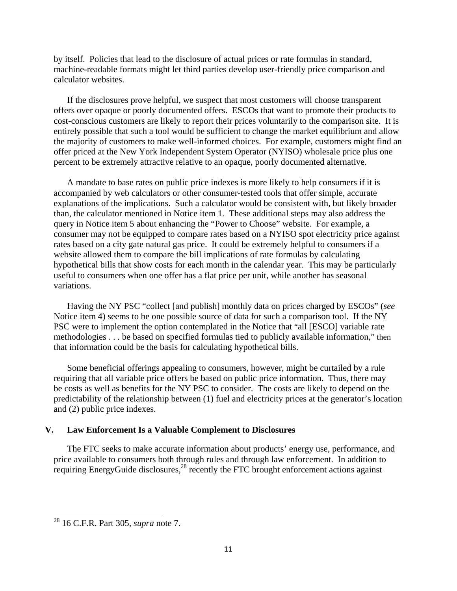by itself. Policies that lead to the disclosure of actual prices or rate formulas in standard, machine-readable formats might let third parties develop user-friendly price comparison and calculator websites.

If the disclosures prove helpful, we suspect that most customers will choose transparent offers over opaque or poorly documented offers. ESCOs that want to promote their products to cost-conscious customers are likely to report their prices voluntarily to the comparison site. It is entirely possible that such a tool would be sufficient to change the market equilibrium and allow the majority of customers to make well-informed choices. For example, customers might find an offer priced at the New York Independent System Operator (NYISO) wholesale price plus one percent to be extremely attractive relative to an opaque, poorly documented alternative.

A mandate to base rates on public price indexes is more likely to help consumers if it is accompanied by web calculators or other consumer-tested tools that offer simple, accurate explanations of the implications. Such a calculator would be consistent with, but likely broader than, the calculator mentioned in Notice item 1. These additional steps may also address the query in Notice item 5 about enhancing the "Power to Choose" website. For example, a consumer may not be equipped to compare rates based on a NYISO spot electricity price against rates based on a city gate natural gas price. It could be extremely helpful to consumers if a website allowed them to compare the bill implications of rate formulas by calculating hypothetical bills that show costs for each month in the calendar year. This may be particularly useful to consumers when one offer has a flat price per unit, while another has seasonal variations.

Having the NY PSC "collect [and publish] monthly data on prices charged by ESCOs" (*see* Notice item 4) seems to be one possible source of data for such a comparison tool. If the NY PSC were to implement the option contemplated in the Notice that "all [ESCO] variable rate methodologies . . . be based on specified formulas tied to publicly available information," then that information could be the basis for calculating hypothetical bills.

Some beneficial offerings appealing to consumers, however, might be curtailed by a rule requiring that all variable price offers be based on public price information. Thus, there may be costs as well as benefits for the NY PSC to consider. The costs are likely to depend on the predictability of the relationship between (1) fuel and electricity prices at the generator's location and (2) public price indexes.

#### **V. Law Enforcement Is a Valuable Complement to Disclosures**

The FTC seeks to make accurate information about products' energy use, performance, and price available to consumers both through rules and through law enforcement. In addition to requiring EnergyGuide disclosures, $28$  recently the FTC brought enforcement actions against

<sup>28 16</sup> C.F.R. Part 305, *supra* note 7.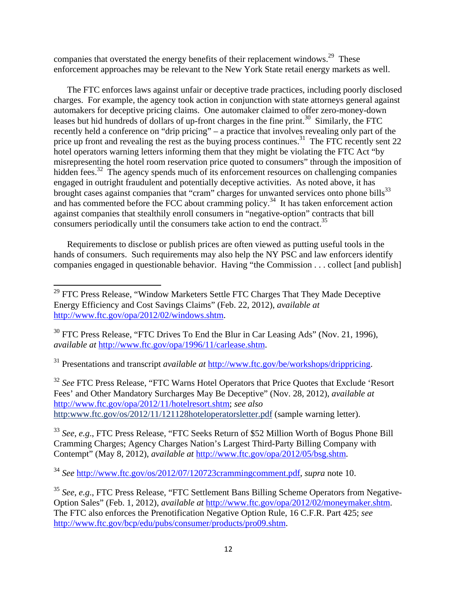companies that overstated the energy benefits of their replacement windows.<sup>29</sup> These enforcement approaches may be relevant to the New York State retail energy markets as well.

The FTC enforces laws against unfair or deceptive trade practices, including poorly disclosed charges. For example, the agency took action in conjunction with state attorneys general against automakers for deceptive pricing claims. One automaker claimed to offer zero-money-down leases but hid hundreds of dollars of up-front charges in the fine print.<sup>30</sup> Similarly, the FTC recently held a conference on "drip pricing" – a practice that involves revealing only part of the price up front and revealing the rest as the buying process continues.<sup>31</sup> The FTC recently sent 22 hotel operators warning letters informing them that they might be violating the FTC Act "by misrepresenting the hotel room reservation price quoted to consumers" through the imposition of hidden fees.<sup>32</sup> The agency spends much of its enforcement resources on challenging companies engaged in outright fraudulent and potentially deceptive activities. As noted above, it has brought cases against companies that "cram" charges for unwanted services onto phone bills<sup>33</sup> and has commented before the FCC about cramming policy.<sup>34</sup> It has taken enforcement action against companies that stealthily enroll consumers in "negative-option" contracts that bill consumers periodically until the consumers take action to end the contract.<sup>35</sup>

Requirements to disclose or publish prices are often viewed as putting useful tools in the hands of consumers. Such requirements may also help the NY PSC and law enforcers identify companies engaged in questionable behavior. Having "the Commission . . . collect [and publish]

<sup>32</sup> See FTC Press Release, "FTC Warns Hotel Operators that Price Quotes that Exclude 'Resort Fees' and Other Mandatory Surcharges May Be Deceptive" (Nov. 28, 2012), *available at* http://www.ftc.gov/opa/2012/11/hotelresort.shtm; *see also* http:www.ftc.gov/os/2012/11/121128hoteloperatorsletter.pdf (sample warning letter).

<sup>33</sup> *See*, *e.g*., FTC Press Release, "FTC Seeks Return of \$52 Million Worth of Bogus Phone Bill Cramming Charges; Agency Charges Nation's Largest Third-Party Billing Company with Contempt" (May 8, 2012), *available at* http://www.ftc.gov/opa/2012/05/bsg.shtm.

 $29$  FTC Press Release, "Window Marketers Settle FTC Charges That They Made Deceptive Energy Efficiency and Cost Savings Claims" (Feb. 22, 2012), *available at* http://www.ftc.gov/opa/2012/02/windows.shtm.

<sup>&</sup>lt;sup>30</sup> FTC Press Release, "FTC Drives To End the Blur in Car Leasing Ads" (Nov. 21, 1996), *available at* http://www.ftc.gov/opa/1996/11/carlease.shtm.

<sup>31</sup> Presentations and transcript *available at* http://www.ftc.gov/be/workshops/drippricing.

<sup>34</sup> *See* http://www.ftc.gov/os/2012/07/120723crammingcomment.pdf, *supra* note 10.

<sup>&</sup>lt;sup>35</sup> See, e.g., FTC Press Release, "FTC Settlement Bans Billing Scheme Operators from Negative-Option Sales" (Feb. 1, 2012), *available at* http://www.ftc.gov/opa/2012/02/moneymaker.shtm. The FTC also enforces the Prenotification Negative Option Rule, 16 C.F.R. Part 425; *see* http://www.ftc.gov/bcp/edu/pubs/consumer/products/pro09.shtm.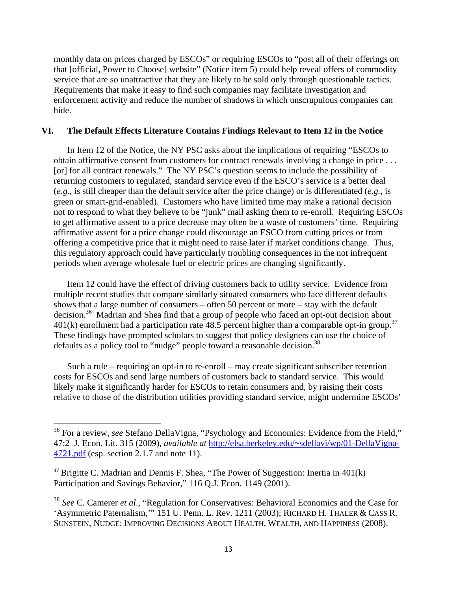monthly data on prices charged by ESCOs" or requiring ESCOs to "post all of their offerings on that [official, Power to Choose] website" (Notice item 5) could help reveal offers of commodity service that are so unattractive that they are likely to be sold only through questionable tactics. Requirements that make it easy to find such companies may facilitate investigation and enforcement activity and reduce the number of shadows in which unscrupulous companies can hide.

#### **VI. The Default Effects Literature Contains Findings Relevant to Item 12 in the Notice**

In Item 12 of the Notice, the NY PSC asks about the implications of requiring "ESCOs to obtain affirmative consent from customers for contract renewals involving a change in price . . . [or] for all contract renewals." The NY PSC's question seems to include the possibility of returning customers to regulated, standard service even if the ESCO's service is a better deal (*e.g.*, is still cheaper than the default service after the price change) or is differentiated (*e.g.*, is green or smart-grid-enabled). Customers who have limited time may make a rational decision not to respond to what they believe to be "junk" mail asking them to re-enroll. Requiring ESCOs to get affirmative assent to a price decrease may often be a waste of customers' time. Requiring affirmative assent for a price change could discourage an ESCO from cutting prices or from offering a competitive price that it might need to raise later if market conditions change. Thus, this regulatory approach could have particularly troubling consequences in the not infrequent periods when average wholesale fuel or electric prices are changing significantly.

Item 12 could have the effect of driving customers back to utility service. Evidence from multiple recent studies that compare similarly situated consumers who face different defaults shows that a large number of consumers – often 50 percent or more – stay with the default decision.<sup>36</sup> Madrian and Shea find that a group of people who faced an opt-out decision about  $401(k)$  enrollment had a participation rate 48.5 percent higher than a comparable opt-in group.<sup>37</sup> These findings have prompted scholars to suggest that policy designers can use the choice of defaults as a policy tool to "nudge" people toward a reasonable decision.<sup>38</sup>

Such a rule – requiring an opt-in to re-enroll – may create significant subscriber retention costs for ESCOs and send large numbers of customers back to standard service. This would likely make it significantly harder for ESCOs to retain consumers and, by raising their costs relative to those of the distribution utilities providing standard service, might undermine ESCOs'

<sup>&</sup>lt;sup>36</sup> For a review, *see* Stefano DellaVigna, "Psychology and Economics: Evidence from the Field," 47:2 J. Econ. Lit. 315 (2009), *available at* http://elsa.berkeley.edu/~sdellavi/wp/01-DellaVigna-4721.pdf (esp. section 2.1.7 and note 11).

 $37$  Brigitte C. Madrian and Dennis F. Shea, "The Power of Suggestion: Inertia in  $401(k)$ Participation and Savings Behavior," 116 Q.J. Econ. 1149 (2001).

<sup>38</sup> *See* C. Camerer *et al*., "Regulation for Conservatives: Behavioral Economics and the Case for 'Asymmetric Paternalism,'" 151 U. Penn. L. Rev. 1211 (2003); RICHARD H. THALER & CASS R. SUNSTEIN, NUDGE: IMPROVING DECISIONS ABOUT HEALTH, WEALTH, AND HAPPINESS (2008).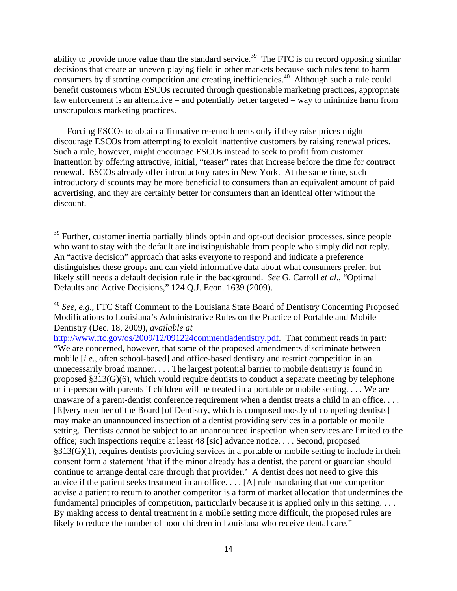ability to provide more value than the standard service.<sup>39</sup> The FTC is on record opposing similar decisions that create an uneven playing field in other markets because such rules tend to harm consumers by distorting competition and creating inefficiencies.40 Although such a rule could benefit customers whom ESCOs recruited through questionable marketing practices, appropriate law enforcement is an alternative – and potentially better targeted – way to minimize harm from unscrupulous marketing practices.

Forcing ESCOs to obtain affirmative re-enrollments only if they raise prices might discourage ESCOs from attempting to exploit inattentive customers by raising renewal prices. Such a rule, however, might encourage ESCOs instead to seek to profit from customer inattention by offering attractive, initial, "teaser" rates that increase before the time for contract renewal. ESCOs already offer introductory rates in New York. At the same time, such introductory discounts may be more beneficial to consumers than an equivalent amount of paid advertising, and they are certainly better for consumers than an identical offer without the discount.

 $39$  Further, customer inertia partially blinds opt-in and opt-out decision processes, since people who want to stay with the default are indistinguishable from people who simply did not reply. An "active decision" approach that asks everyone to respond and indicate a preference distinguishes these groups and can yield informative data about what consumers prefer, but likely still needs a default decision rule in the background. *See* G. Carroll *et al*., "Optimal Defaults and Active Decisions," 124 Q.J. Econ. 1639 (2009).

<sup>40</sup> *See*, *e.g*., FTC Staff Comment to the Louisiana State Board of Dentistry Concerning Proposed Modifications to Louisiana's Administrative Rules on the Practice of Portable and Mobile Dentistry (Dec. 18, 2009), *available at*

http://www.ftc.gov/os/2009/12/091224commentladentistry.pdf. That comment reads in part: "We are concerned, however, that some of the proposed amendments discriminate between mobile [*i.e*., often school-based] and office-based dentistry and restrict competition in an unnecessarily broad manner. . . . The largest potential barrier to mobile dentistry is found in proposed §313(G)(6), which would require dentists to conduct a separate meeting by telephone or in-person with parents if children will be treated in a portable or mobile setting. . . . We are unaware of a parent-dentist conference requirement when a dentist treats a child in an office. . . . [E]very member of the Board [of Dentistry, which is composed mostly of competing dentists] may make an unannounced inspection of a dentist providing services in a portable or mobile setting. Dentists cannot be subject to an unannounced inspection when services are limited to the office; such inspections require at least 48 [sic] advance notice. . . . Second, proposed §313(G)(1), requires dentists providing services in a portable or mobile setting to include in their consent form a statement 'that if the minor already has a dentist, the parent or guardian should continue to arrange dental care through that provider.' A dentist does not need to give this advice if the patient seeks treatment in an office. . . . [A] rule mandating that one competitor advise a patient to return to another competitor is a form of market allocation that undermines the fundamental principles of competition, particularly because it is applied only in this setting. . . . By making access to dental treatment in a mobile setting more difficult, the proposed rules are likely to reduce the number of poor children in Louisiana who receive dental care."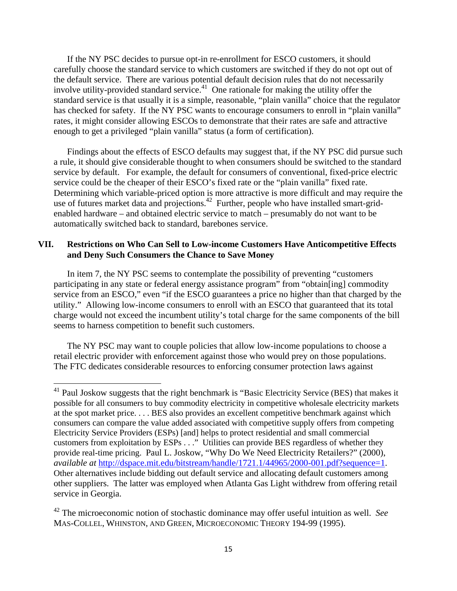If the NY PSC decides to pursue opt-in re-enrollment for ESCO customers, it should carefully choose the standard service to which customers are switched if they do not opt out of the default service. There are various potential default decision rules that do not necessarily involve utility-provided standard service.<sup>41</sup> One rationale for making the utility offer the standard service is that usually it is a simple, reasonable, "plain vanilla" choice that the regulator has checked for safety. If the NY PSC wants to encourage consumers to enroll in "plain vanilla" rates, it might consider allowing ESCOs to demonstrate that their rates are safe and attractive enough to get a privileged "plain vanilla" status (a form of certification).

Findings about the effects of ESCO defaults may suggest that, if the NY PSC did pursue such a rule, it should give considerable thought to when consumers should be switched to the standard service by default. For example, the default for consumers of conventional, fixed-price electric service could be the cheaper of their ESCO's fixed rate or the "plain vanilla" fixed rate. Determining which variable-priced option is more attractive is more difficult and may require the use of futures market data and projections.<sup>42</sup> Further, people who have installed smart-gridenabled hardware – and obtained electric service to match – presumably do not want to be automatically switched back to standard, barebones service.

## **VII. Restrictions on Who Can Sell to Low-income Customers Have Anticompetitive Effects and Deny Such Consumers the Chance to Save Money**

In item 7, the NY PSC seems to contemplate the possibility of preventing "customers participating in any state or federal energy assistance program" from "obtain[ing] commodity service from an ESCO," even "if the ESCO guarantees a price no higher than that charged by the utility." Allowing low-income consumers to enroll with an ESCO that guaranteed that its total charge would not exceed the incumbent utility's total charge for the same components of the bill seems to harness competition to benefit such customers.

The NY PSC may want to couple policies that allow low-income populations to choose a retail electric provider with enforcement against those who would prey on those populations. The FTC dedicates considerable resources to enforcing consumer protection laws against

 $41$  Paul Joskow suggests that the right benchmark is "Basic Electricity Service (BES) that makes it possible for all consumers to buy commodity electricity in competitive wholesale electricity markets at the spot market price. . . . BES also provides an excellent competitive benchmark against which consumers can compare the value added associated with competitive supply offers from competing Electricity Service Providers (ESPs) [and] helps to protect residential and small commercial customers from exploitation by ESPs . . ." Utilities can provide BES regardless of whether they provide real-time pricing. Paul L. Joskow, "Why Do We Need Electricity Retailers?" (2000), *available at* http://dspace.mit.edu/bitstream/handle/1721.1/44965/2000-001.pdf?sequence=1. Other alternatives include bidding out default service and allocating default customers among other suppliers. The latter was employed when Atlanta Gas Light withdrew from offering retail service in Georgia.

<sup>42</sup> The microeconomic notion of stochastic dominance may offer useful intuition as well. *See* MAS-COLLEL, WHINSTON, AND GREEN, MICROECONOMIC THEORY 194-99 (1995).